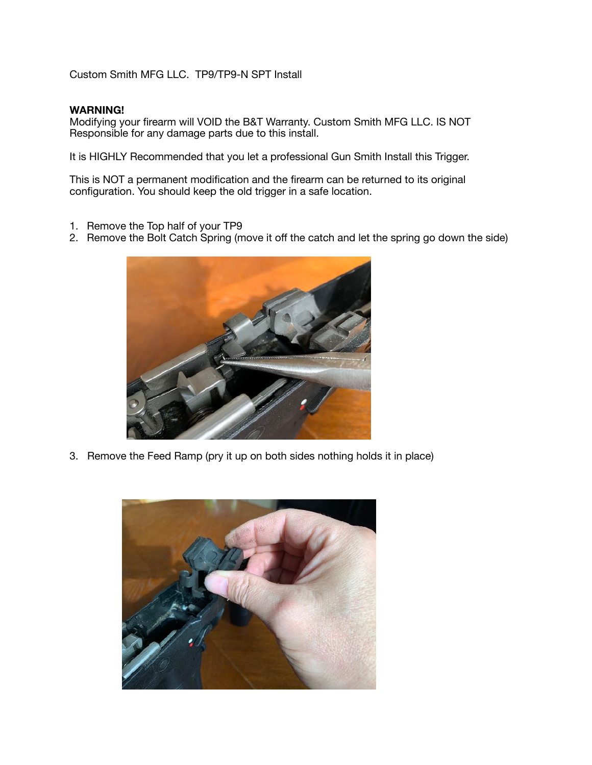Custom Smith MFG LLC. TP9/TP9-N SPT Install

## **WARNING!**

Modifying your firearm will VOID the B&T Warranty. Custom Smith MFG LLC. IS NOT Responsible for any damage parts due to this install.

It is HIGHLY Recommended that you let a professional Gun Smith Install this Trigger.

This is NOT a permanent modification and the firearm can be returned to its original configuration. You should keep the old trigger in a safe location.

- 1. Remove the Top half of your TP9
- 2. Remove the Bolt Catch Spring (move it off the catch and let the spring go down the side)



3. Remove the Feed Ramp (pry it up on both sides nothing holds it in place)

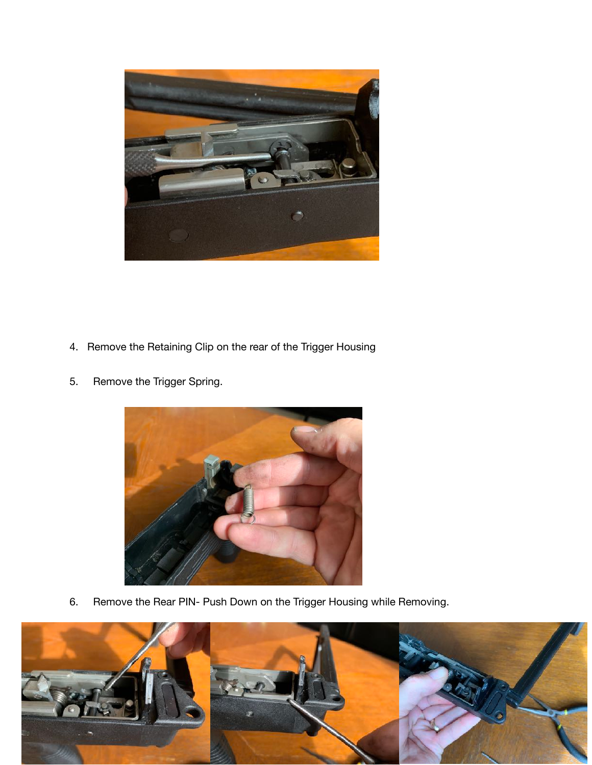

- 4. Remove the Retaining Clip on the rear of the Trigger Housing
- 5. Remove the Trigger Spring.



6. Remove the Rear PIN- Push Down on the Trigger Housing while Removing.

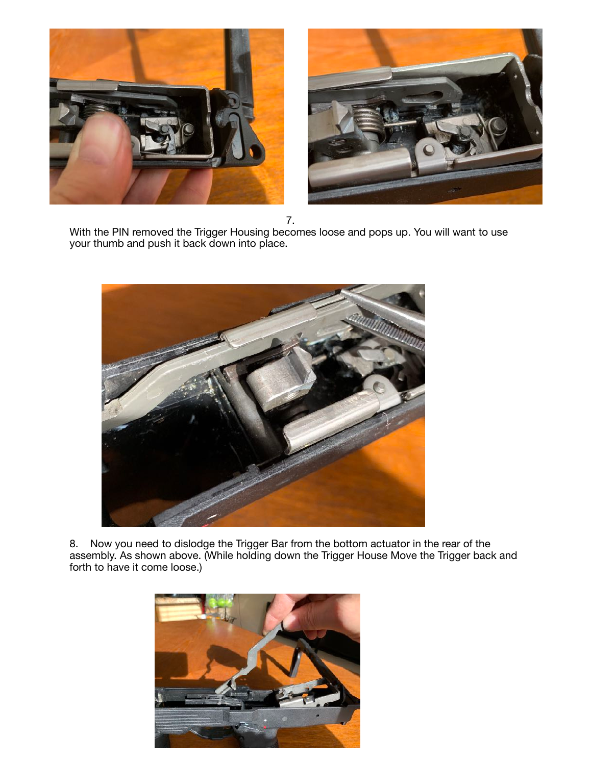



7.

With the PIN removed the Trigger Housing becomes loose and pops up. You will want to use your thumb and push it back down into place.



8. Now you need to dislodge the Trigger Bar from the bottom actuator in the rear of the assembly. As shown above. (While holding down the Trigger House Move the Trigger back and forth to have it come loose.)

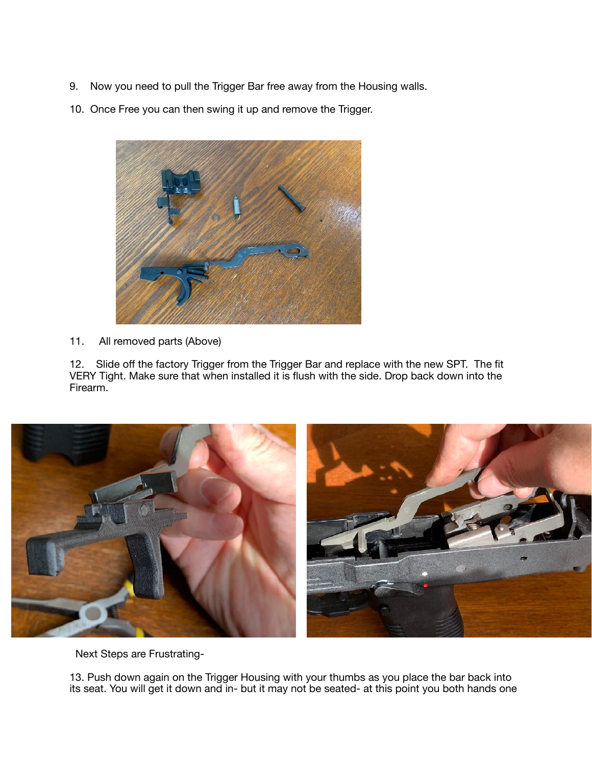- 9. Now you need to pull the Trigger Bar free away from the Housing walls.
- 10. Once Free you can then swing it up and remove the Trigger.



11. All removed parts (Above)

12. Slide off the factory Trigger from the Trigger Bar and replace with the new SPT. The fit VERY Tight. Make sure that when installed it is flush with the side. Drop back down into the Firearm.



Next Steps are Frustrating-

13. Push down again on the Trigger Housing with your thumbs as you place the bar back into its seat. You will get it down and in- but it may not be seated- at this point you both hands one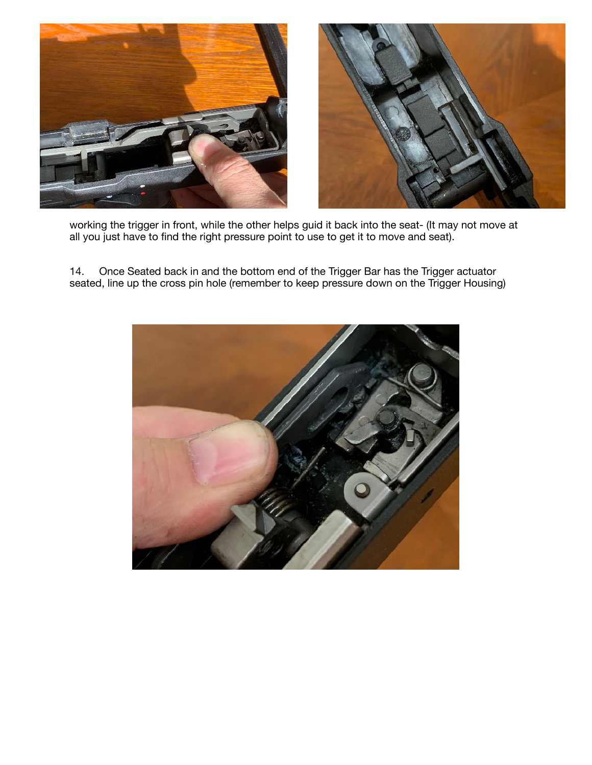



working the trigger in front, while the other helps guid it back into the seat- (It may not move at all you just have to find the right pressure point to use to get it to move and seat).

14. Once Seated back in and the bottom end of the Trigger Bar has the Trigger actuator seated, line up the cross pin hole (remember to keep pressure down on the Trigger Housing)

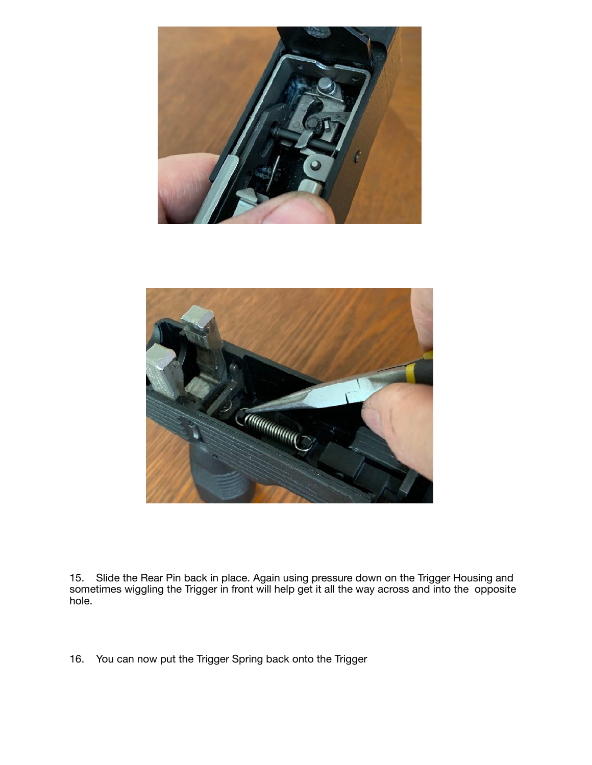



15. Slide the Rear Pin back in place. Again using pressure down on the Trigger Housing and sometimes wiggling the Trigger in front will help get it all the way across and into the opposite hole.

16. You can now put the Trigger Spring back onto the Trigger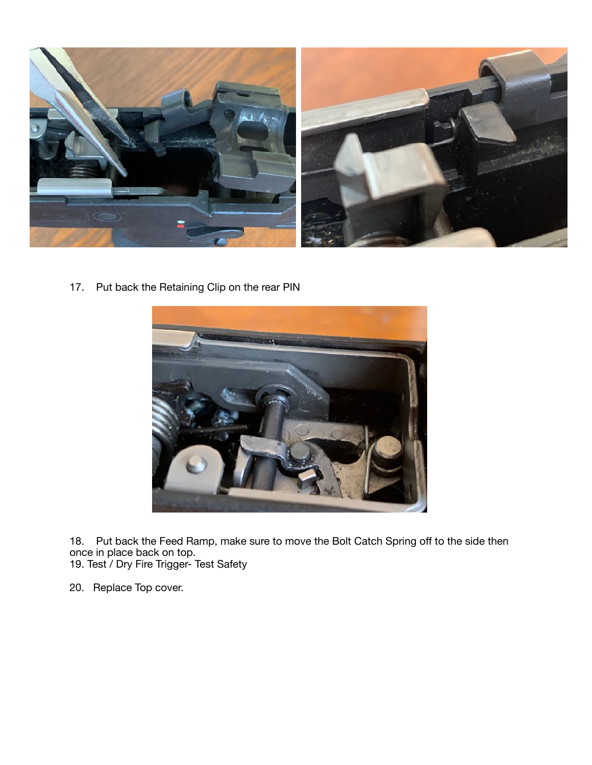

17. Put back the Retaining Clip on the rear PIN



18. Put back the Feed Ramp, make sure to move the Bolt Catch Spring off to the side then once in place back on top. 19. Test / Dry Fire Trigger- Test Safety

20. Replace Top cover.